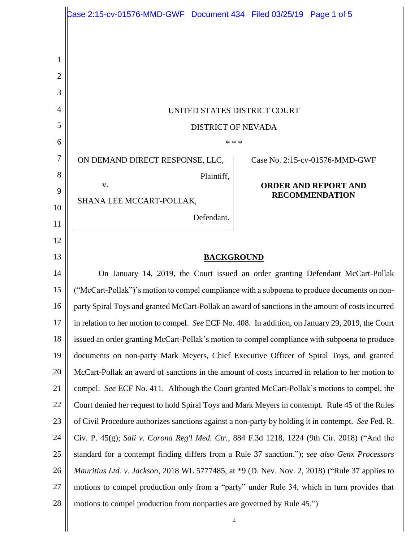|        | $\textsf{Case 2:15-cv-01576-MMD-GWF}$ Document 434 Filed 03/25/19 Page 1 of 5                      |                                                      |
|--------|----------------------------------------------------------------------------------------------------|------------------------------------------------------|
|        |                                                                                                    |                                                      |
|        |                                                                                                    |                                                      |
| 1<br>2 |                                                                                                    |                                                      |
| 3      |                                                                                                    |                                                      |
| 4      | UNITED STATES DISTRICT COURT                                                                       |                                                      |
| 5      | <b>DISTRICT OF NEVADA</b>                                                                          |                                                      |
| 6      | * * *                                                                                              |                                                      |
| 7      | ON DEMAND DIRECT RESPONSE, LLC,                                                                    | Case No. 2:15-cv-01576-MMD-GWF                       |
| 8      | Plaintiff,                                                                                         |                                                      |
| 9      | V.                                                                                                 | <b>ORDER AND REPORT AND</b><br><b>RECOMMENDATION</b> |
| 10     | SHANA LEE MCCART-POLLAK,                                                                           |                                                      |
| 11     | Defendant.                                                                                         |                                                      |
| 12     |                                                                                                    |                                                      |
| 13     | <b>BACKGROUND</b>                                                                                  |                                                      |
| 14     | On January 14, 2019, the Court issued an order granting Defendant McCart-Pollak                    |                                                      |
| 15     | ("McCart-Pollak")'s motion to compel compliance with a subpoena to produce documents on non-       |                                                      |
| 16     | party Spiral Toys and granted McCart-Pollak an award of sanctions in the amount of costs incurred  |                                                      |
| 17     | in relation to her motion to compel. See ECF No. 408. In addition, on January 29, 2019, the Court  |                                                      |
| 18     | issued an order granting McCart-Pollak's motion to compel compliance with subpoena to produce      |                                                      |
| 19     | documents on non-party Mark Meyers, Chief Executive Officer of Spiral Toys, and granted            |                                                      |
| 20     | McCart-Pollak an award of sanctions in the amount of costs incurred in relation to her motion to   |                                                      |
| 21     | compel. See ECF No. 411. Although the Court granted McCart-Pollak's motions to compel, the         |                                                      |
| 22     | Court denied her request to hold Spiral Toys and Mark Meyers in contempt. Rule 45 of the Rules     |                                                      |
| 23     | of Civil Procedure authorizes sanctions against a non-party by holding it in contempt. See Fed. R. |                                                      |
| 24     | Civ. P. 45(g); Sali v. Corona Reg'l Med. Ctr., 884 F.3d 1218, 1224 (9th Cir. 2018) ("And the       |                                                      |
| 25     | standard for a contempt finding differs from a Rule 37 sanction."); see also Genx Processors       |                                                      |
| 26     | Mauritius Ltd. v. Jackson, 2018 WL 5777485, at *9 (D. Nev. Nov. 2, 2018) ("Rule 37 applies to      |                                                      |
| 27     | motions to compel production only from a "party" under Rule 34, which in turn provides that        |                                                      |
| 28     | motions to compel production from nonparties are governed by Rule 45.")                            |                                                      |
|        | $\mathbf{I}$                                                                                       |                                                      |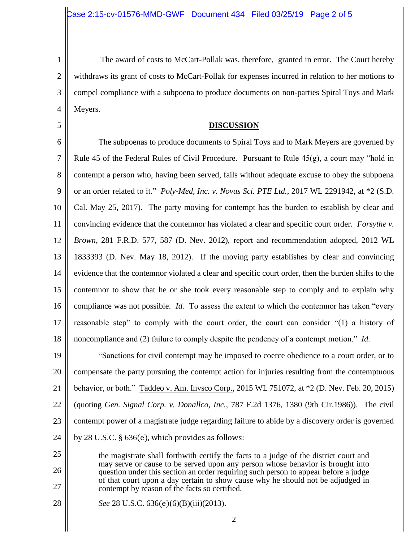1

2

3

4

5

- The award of costs to McCart-Pollak was, therefore, granted in error. The Court hereby withdraws its grant of costs to McCart-Pollak for expenses incurred in relation to her motions to compel compliance with a subpoena to produce documents on non-parties Spiral Toys and Mark Meyers.
	- **DISCUSSION**

6 7 8 9 10 11 12 13 14 15 16 17 18 The subpoenas to produce documents to Spiral Toys and to Mark Meyers are governed by Rule 45 of the Federal Rules of Civil Procedure. Pursuant to Rule  $45(g)$ , a court may "hold in contempt a person who, having been served, fails without adequate excuse to obey the subpoena or an order related to it." *Poly-Med, Inc. v. Novus Sci. PTE Ltd.*, 2017 WL 2291942, at \*2 (S.D. Cal. May 25, 2017). The party moving for contempt has the burden to establish by clear and convincing evidence that the contemnor has violated a clear and specific court order. *Forsythe v. Brown*, 281 F.R.D. 577, 587 (D. Nev. 2012), report and recommendation adopted, 2012 WL 1833393 (D. Nev. May 18, 2012). If the moving party establishes by clear and convincing evidence that the contemnor violated a clear and specific court order, then the burden shifts to the contemnor to show that he or she took every reasonable step to comply and to explain why compliance was not possible. *Id*. To assess the extent to which the contemnor has taken "every reasonable step" to comply with the court order, the court can consider "(1) a history of noncompliance and (2) failure to comply despite the pendency of a contempt motion." *Id.* 

19 20 21 22 23 24 "Sanctions for civil contempt may be imposed to coerce obedience to a court order, or to compensate the party pursuing the contempt action for injuries resulting from the contemptuous behavior, or both." Taddeo v. Am. Invsco Corp., 2015 WL 751072, at \*2 (D. Nev. Feb. 20, 2015) (quoting *Gen. Signal Corp. v. Donallco, Inc.,* 787 F.2d 1376, 1380 (9th Cir.1986)). The civil contempt power of a magistrate judge regarding failure to abide by a discovery order is governed by 28 U.S.C. § 636(e), which provides as follows:

25 26 27 the magistrate shall forthwith certify the facts to a judge of the district court and may serve or cause to be served upon any person whose behavior is brought into question under this section an order requiring such person to appear before a judge of that court upon a day certain to show cause why he should not be adjudged in contempt by reason of the facts so certified.

28 *See* 28 U.S.C. 636(e)(6)(B)(iii)(2013).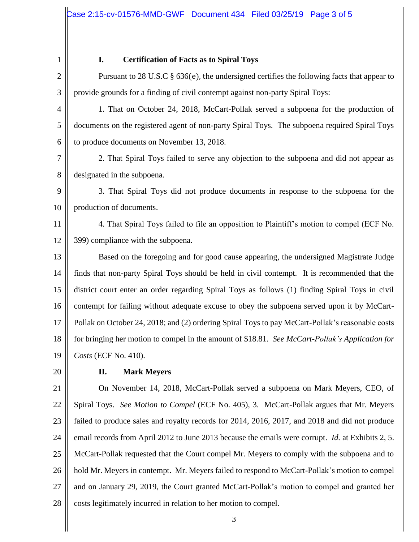1

## **I. Certification of Facts as to Spiral Toys**

2 3 Pursuant to 28 U.S.C § 636(e), the undersigned certifies the following facts that appear to provide grounds for a finding of civil contempt against non-party Spiral Toys:

4 5 6 1. That on October 24, 2018, McCart-Pollak served a subpoena for the production of documents on the registered agent of non-party Spiral Toys. The subpoena required Spiral Toys to produce documents on November 13, 2018.

7 8 2. That Spiral Toys failed to serve any objection to the subpoena and did not appear as designated in the subpoena.

9 10 3. That Spiral Toys did not produce documents in response to the subpoena for the production of documents.

11 12 4. That Spiral Toys failed to file an opposition to Plaintiff's motion to compel (ECF No. 399) compliance with the subpoena.

13 14 15 16 17 18 19 Based on the foregoing and for good cause appearing, the undersigned Magistrate Judge finds that non-party Spiral Toys should be held in civil contempt. It is recommended that the district court enter an order regarding Spiral Toys as follows (1) finding Spiral Toys in civil contempt for failing without adequate excuse to obey the subpoena served upon it by McCart-Pollak on October 24, 2018; and (2) ordering Spiral Toys to pay McCart-Pollak's reasonable costs for bringing her motion to compel in the amount of \$18.81. *See McCart-Pollak's Application for Costs* (ECF No. 410).

20

## **II. Mark Meyers**

21 22 23 24 25 26 27 28 On November 14, 2018, McCart-Pollak served a subpoena on Mark Meyers, CEO, of Spiral Toys. *See Motion to Compel* (ECF No. 405), 3. McCart-Pollak argues that Mr. Meyers failed to produce sales and royalty records for 2014, 2016, 2017, and 2018 and did not produce email records from April 2012 to June 2013 because the emails were corrupt. *Id.* at Exhibits 2, 5. McCart-Pollak requested that the Court compel Mr. Meyers to comply with the subpoena and to hold Mr. Meyers in contempt. Mr. Meyers failed to respond to McCart-Pollak's motion to compel and on January 29, 2019, the Court granted McCart-Pollak's motion to compel and granted her costs legitimately incurred in relation to her motion to compel.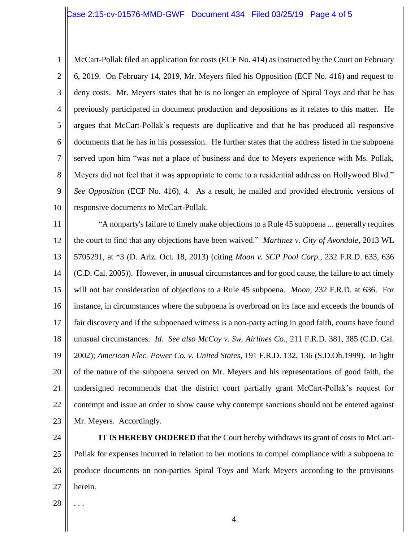## Case 2:15-cv-01576-MMD-GWF Document 434 Filed 03/25/19 Page 4 of 5

1 2 3 4 5 6 7 8 9 10 McCart-Pollak filed an application for costs (ECF No. 414) as instructed by the Court on February 6, 2019. On February 14, 2019, Mr. Meyers filed his Opposition (ECF No. 416) and request to deny costs. Mr. Meyers states that he is no longer an employee of Spiral Toys and that he has previously participated in document production and depositions as it relates to this matter. He argues that McCart-Pollak's requests are duplicative and that he has produced all responsive documents that he has in his possession. He further states that the address listed in the subpoena served upon him "was not a place of business and due to Meyers experience with Ms. Pollak, Meyers did not feel that it was appropriate to come to a residential address on Hollywood Blvd." *See Opposition* (ECF No. 416), 4. As a result, he mailed and provided electronic versions of responsive documents to McCart-Pollak.

11 12 13 14 15 16 17 18 19 20 21 22 23 "A nonparty's failure to timely make objections to a Rule 45 subpoena ... generally requires the court to find that any objections have been waived." *Martinez v. City of Avondale*, 2013 WL 5705291, at \*3 (D. Ariz. Oct. 18, 2013) (citing *Moon v. SCP Pool Corp.*, 232 F.R.D. 633, 636 (C.D. Cal. 2005)). However, in unusual circumstances and for good cause, the failure to act timely will not bar consideration of objections to a Rule 45 subpoena. *Moon*, 232 F.R.D. at 636. For instance, in circumstances where the subpoena is overbroad on its face and exceeds the bounds of fair discovery and if the subpoenaed witness is a non-party acting in good faith, courts have found unusual circumstances. *Id*. *See also McCoy v. Sw. Airlines Co.*, 211 F.R.D. 381, 385 (C.D. Cal. 2002); *American Elec. Power Co. v. United States,* 191 F.R.D. 132, 136 (S.D.Oh.1999). In light of the nature of the subpoena served on Mr. Meyers and his representations of good faith, the undersigned recommends that the district court partially grant McCart-Pollak's request for contempt and issue an order to show cause why contempt sanctions should not be entered against Mr. Meyers. Accordingly.

24 25 26 27 **IT IS HEREBY ORDERED** that the Court hereby withdraws its grant of costs to McCart-Pollak for expenses incurred in relation to her motions to compel compliance with a subpoena to produce documents on non-parties Spiral Toys and Mark Meyers according to the provisions herein.

28

. . .

4